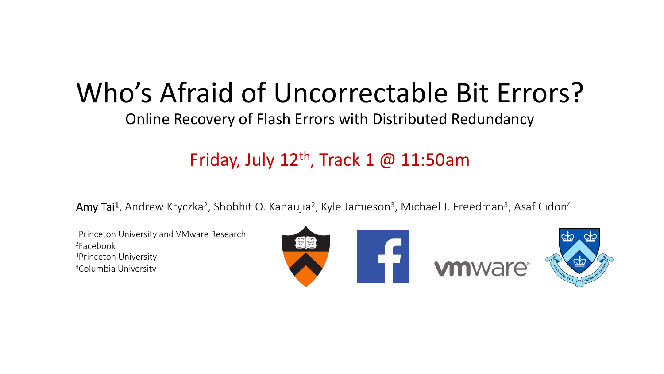## Who's Afraid of Uncorrectable Bit Errors?

Online Recovery of Flash Errors with Distributed Redundancy

#### Friday, July  $12<sup>th</sup>$ , Track 1 @ 11:50am

Amy Tai<sup>1</sup>, Andrew Kryczka<sup>2</sup>, Shobhit O. Kanaujia<sup>2</sup>, Kyle Jamieson<sup>3</sup>, Michael J. Freedman<sup>3</sup>, Asaf Cidon<sup>4</sup>

1Princeton University and VMware Research 2Facebook 3Princeton University 4Columbia University

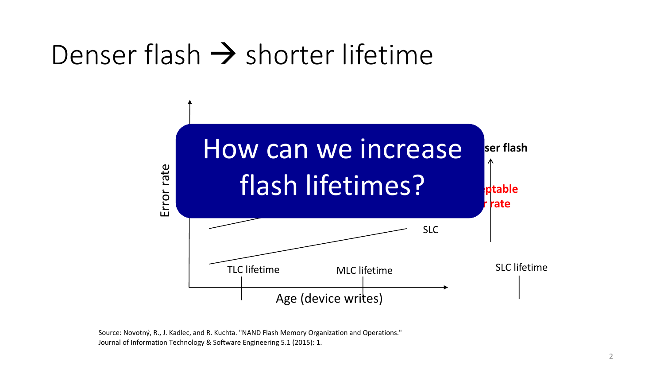## Denser flash  $\rightarrow$  shorter lifetime



Source: Novotný, R., J. Kadlec, and R. Kuchta. "NAND Flash Memory Organization and Operations." Journal of Information Technology & Software Engineering 5.1 (2015): 1.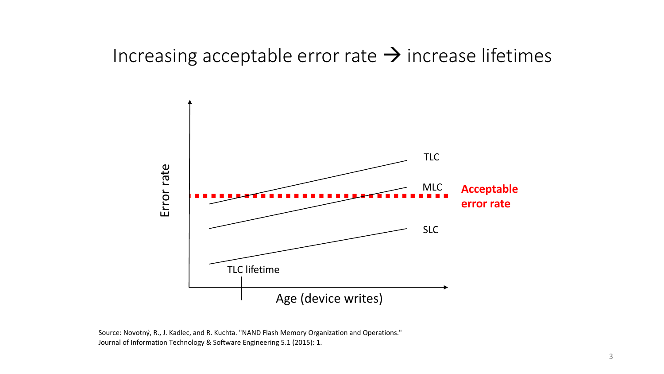#### Increasing acceptable error rate  $\rightarrow$  increase lifetimes



Source: Novotný, R., J. Kadlec, and R. Kuchta. "NAND Flash Memory Organization and Operations." Journal of Information Technology & Software Engineering 5.1 (2015): 1.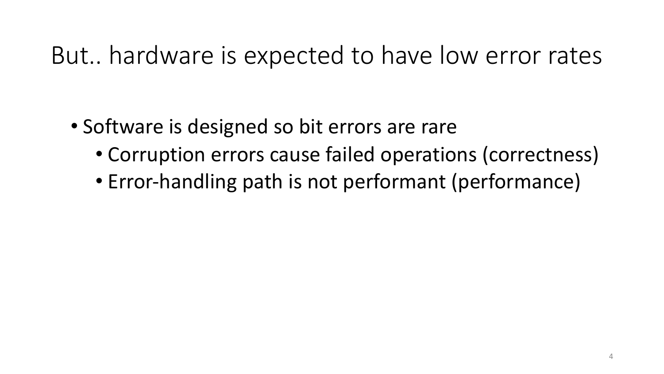### But.. hardware is expected to have low error rates

- Software is designed so bit errors are rare
	- Corruption errors cause failed operations (correctness)
	- Error-handling path is not performant (performance)